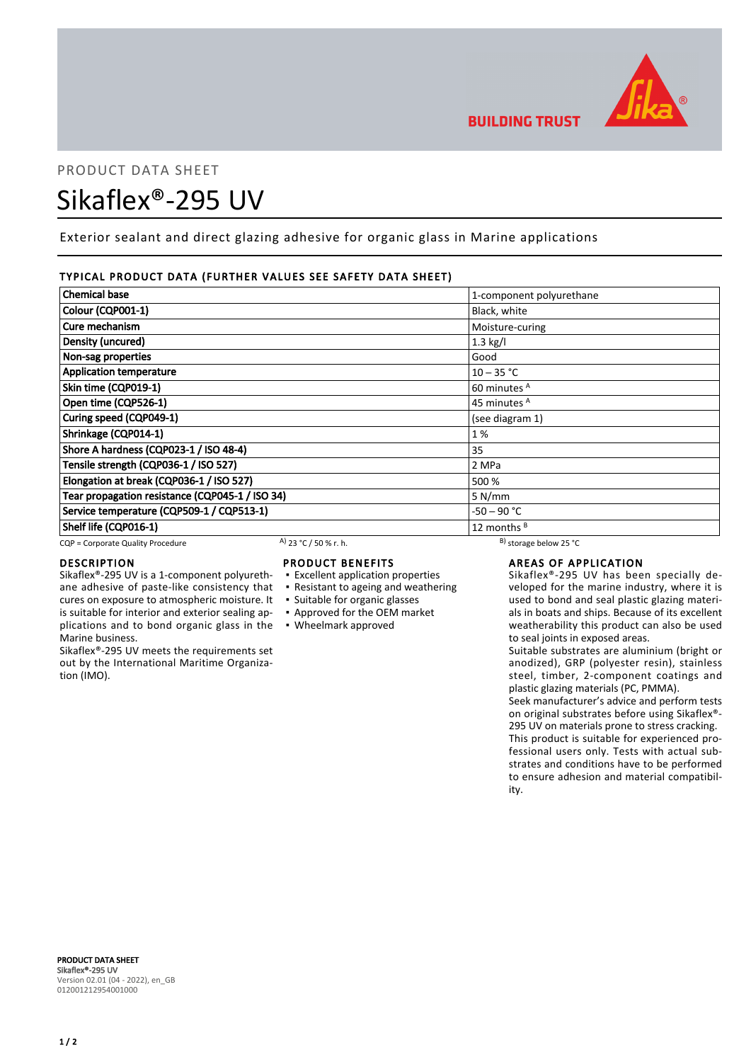

# PRODUCT DATA SHEET Sikaflex®-295 UV

Exterior sealant and direct glazing adhesive for organic glass in Marine applications

# TYPICAL PRODUCT DATA (FURTHER VALUES SEE SAFETY DATA SHEET)

| <b>Chemical base</b>                            |                       | 1-component polyurethane     |  |
|-------------------------------------------------|-----------------------|------------------------------|--|
| Colour (CQP001-1)                               |                       | Black, white                 |  |
| Cure mechanism                                  |                       | Moisture-curing              |  |
| Density (uncured)                               |                       | $1.3$ kg/l                   |  |
| Non-sag properties                              |                       | Good                         |  |
| <b>Application temperature</b>                  |                       | $10 - 35 °C$                 |  |
| Skin time (CQP019-1)                            |                       | 60 minutes <sup>A</sup>      |  |
| Open time (CQP526-1)                            |                       | 45 minutes <sup>A</sup>      |  |
| Curing speed (CQP049-1)                         |                       | (see diagram 1)              |  |
| Shrinkage (CQP014-1)                            |                       | 1%                           |  |
| Shore A hardness (CQP023-1 / ISO 48-4)          |                       | 35                           |  |
| Tensile strength (CQP036-1 / ISO 527)           |                       | 2 MPa                        |  |
| Elongation at break (CQP036-1 / ISO 527)        |                       | 500 %                        |  |
| Tear propagation resistance (CQP045-1 / ISO 34) |                       | 5 N/mm                       |  |
| Service temperature (CQP509-1 / CQP513-1)       |                       | -50 – 90 °C                  |  |
| Shelf life (CQP016-1)                           |                       | 12 months <sup>B</sup>       |  |
| CQP = Corporate Quality Procedure               | A) 23 °C / 50 % r. h. | $^{B}$ ) storage below 25 °C |  |

cures on exposure to atmospheric moisture. It is suitable for interior and exterior sealing ap-

Sikaflex®-295 UV meets the requirements set out by the International Maritime Organiza-

# DESCRIPTION

Marine business.

tion (IMO).

# PRODUCT BENEFITS

- Sikaflex®-295 UV is a 1-component polyurethane adhesive of paste-like consistency that ▪ Excellent application properties ▪ Resistant to ageing and weathering
	-
	- Suitable for organic glasses
	- Approved for the OEM market
- plications and to bond organic glass in the Wheelmark approved

# AREAS OF APPLICATION

Sikaflex®-295 UV has been specially developed for the marine industry, where it is used to bond and seal plastic glazing materials in boats and ships. Because of its excellent weatherability this product can also be used to seal joints in exposed areas.

Suitable substrates are aluminium (bright or anodized), GRP (polyester resin), stainless steel, timber, 2-component coatings and plastic glazing materials (PC, PMMA).

Seek manufacturer's advice and perform tests on original substrates before using Sikaflex®- 295 UV on materials prone to stress cracking. This product is suitable for experienced professional users only. Tests with actual substrates and conditions have to be performed to ensure adhesion and material compatibility.

PRODUCT DATA SHEET Sikaflex®-295 UV Version 02.01 (04 - 2022), en\_GB 012001212954001000